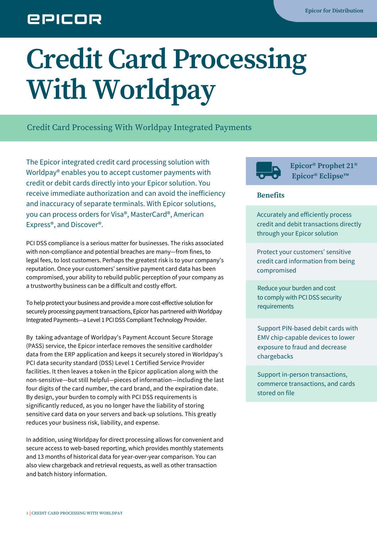## **EPICOR**

## **Credit Card Processing With Worldpay**

Credit Card Processing With Worldpay Integrated Payments

The Epicor integrated credit card processing solution with Worldpay® enables you to accept customer payments with credit or debit cards directly into your Epicor solution. You receive immediate authorization and can avoid the inefficiency and inaccuracy of separate terminals. With Epicor solutions, you can process orders for Visa®, MasterCard®, American Express®, and Discover®.

PCI DSS compliance is a serious matter for businesses. The risks associated with non-compliance and potential breaches are many—from fines, to legal fees, to lost customers. Perhaps the greatest risk is to your company's reputation. Once your customers' sensitive payment card data has been compromised, your ability to rebuild public perception of your company as a trustworthy business can be a difficult and costly effort.

To help protect your business and provide a more cost-effective solution for securely processing payment transactions, Epicor has partnered with Worldpay Integrated Payments—a Level 1 PCIDSS Compliant Technology Provider.

By taking advantage of Worldpay's Payment Account Secure Storage (PASS) service, the Epicor interface removes the sensitive cardholder data from the ERP application and keeps it securely stored in Worldpay's PCI data security standard (DSS) Level 1 Certified Service Provider facilities. It then leaves a token in the Epicor application along with the non-sensitive—but still helpful—pieces of information—including the last four digits of the card number, the card brand, and the expiration date. By design, your burden to comply with PCI DSS requirements is significantly reduced, as you no longer have the liability of storing sensitive card data on your servers and back-up solutions. This greatly reduces your business risk, liability, and expense.

In addition, using Worldpay for direct processing allows for convenient and secure access to web-based reporting, which provides monthly statements and 13 months of historical data for year-over-year comparison. You can also view chargeback and retrieval requests, as well as other transaction and batch history information.



**Epicor® Prophet 21® Epicor® Eclipse™**

## **Benefits**

Accurately and efficiently process credit and debit transactions directly through your Epicor solution

Protect your customers' sensitive credit card information from being compromised

Reduce your burden and cost to comply with PCI DSS security requirements

Support PIN-based debit cards with EMV chip-capable devices to lower exposure to fraud and decrease chargebacks

Support in-person transactions, commerce transactions, and cards stored on file